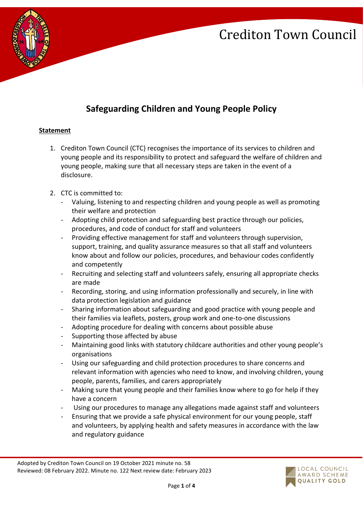

## **Safeguarding Children and Young People Policy**

### **Statement**

- 1. Crediton Town Council (CTC) recognises the importance of its services to children and young people and its responsibility to protect and safeguard the welfare of children and young people, making sure that all necessary steps are taken in the event of a disclosure.
- 2. CTC is committed to:
	- Valuing, listening to and respecting children and young people as well as promoting their welfare and protection
	- Adopting child protection and safeguarding best practice through our policies, procedures, and code of conduct for staff and volunteers
	- Providing effective management for staff and volunteers through supervision, support, training, and quality assurance measures so that all staff and volunteers know about and follow our policies, procedures, and behaviour codes confidently and competently
	- Recruiting and selecting staff and volunteers safely, ensuring all appropriate checks are made
	- Recording, storing, and using information professionally and securely, in line with data protection legislation and guidance
	- Sharing information about safeguarding and good practice with young people and their families via leaflets, posters, group work and one-to-one discussions
	- Adopting procedure for dealing with concerns about possible abuse
	- Supporting those affected by abuse
	- Maintaining good links with statutory childcare authorities and other young people's organisations
	- Using our safeguarding and child protection procedures to share concerns and relevant information with agencies who need to know, and involving children, young people, parents, families, and carers appropriately
	- Making sure that young people and their families know where to go for help if they have a concern
	- Using our procedures to manage any allegations made against staff and volunteers
	- Ensuring that we provide a safe physical environment for our young people, staff and volunteers, by applying health and safety measures in accordance with the law and regulatory guidance

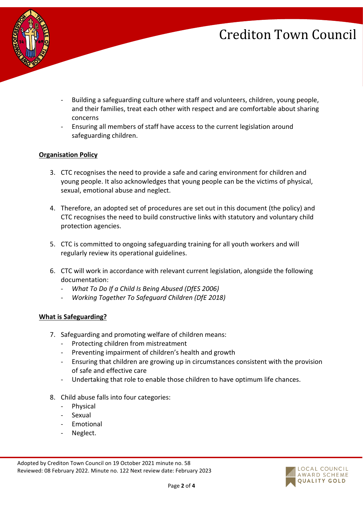

- Building a safeguarding culture where staff and volunteers, children, young people, and their families, treat each other with respect and are comfortable about sharing concerns
- Ensuring all members of staff have access to the current legislation around safeguarding children.

#### **Organisation Policy**

- 3. CTC recognises the need to provide a safe and caring environment for children and young people. It also acknowledges that young people can be the victims of physical, sexual, emotional abuse and neglect.
- 4. Therefore, an adopted set of procedures are set out in this document (the policy) and CTC recognises the need to build constructive links with statutory and voluntary child protection agencies.
- 5. CTC is committed to ongoing safeguarding training for all youth workers and will regularly review its operational guidelines.
- 6. CTC will work in accordance with relevant current legislation, alongside the following documentation:
	- *What To Do If a Child Is Being Abused (DfES 2006)*
	- *Working Together To Safeguard Children (DfE 2018)*

#### **What is Safeguarding?**

- 7. Safeguarding and promoting welfare of children means:
	- Protecting children from mistreatment
	- Preventing impairment of children's health and growth
	- Ensuring that children are growing up in circumstances consistent with the provision of safe and effective care
	- Undertaking that role to enable those children to have optimum life chances.
- 8. Child abuse falls into four categories:
	- **Physical**
	- Sexual
	- **Emotional**
	- Neglect.

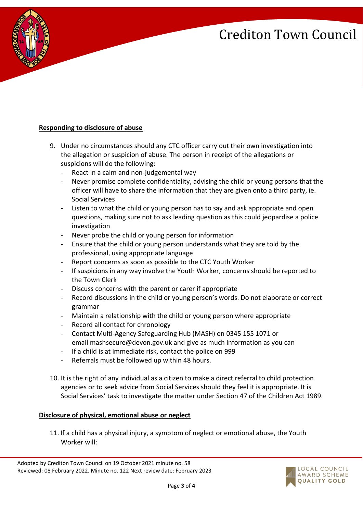

### **Responding to disclosure of abuse**

- 9. Under no circumstances should any CTC officer carry out their own investigation into the allegation or suspicion of abuse. The person in receipt of the allegations or suspicions will do the following:
	- React in a calm and non-judgemental way
	- Never promise complete confidentiality, advising the child or young persons that the officer will have to share the information that they are given onto a third party, ie. Social Services
	- Listen to what the child or young person has to say and ask appropriate and open questions, making sure not to ask leading question as this could jeopardise a police investigation
	- Never probe the child or young person for information
	- Ensure that the child or young person understands what they are told by the professional, using appropriate language
	- Report concerns as soon as possible to the CTC Youth Worker
	- If suspicions in any way involve the Youth Worker, concerns should be reported to the Town Clerk
	- Discuss concerns with the parent or carer if appropriate
	- Record discussions in the child or young person's words. Do not elaborate or correct grammar
	- Maintain a relationship with the child or young person where appropriate
	- Record all contact for chronology
	- Contact Multi-Agency Safeguarding Hub (MASH) on [0345 155 1071](tel:03451551071) or email [mashsecure@devon.gov.uk](mailto:mashsecure@devon.gov.uk) and give as much information as you can
	- If a child is at immediate risk, contact the police on [999](tel:999)
	- Referrals must be followed up within 48 hours.
- 10. It is the right of any individual as a citizen to make a direct referral to child protection agencies or to seek advice from Social Services should they feel it is appropriate. It is Social Services' task to investigate the matter under Section 47 of the Children Act 1989.

#### **Disclosure of physical, emotional abuse or neglect**

11. If a child has a physical injury, a symptom of neglect or emotional abuse, the Youth Worker will:

Adopted by Crediton Town Council on 19 October 2021 minute no. 58 Reviewed: 08 February 2022. Minute no. 122 Next review date: February 2023